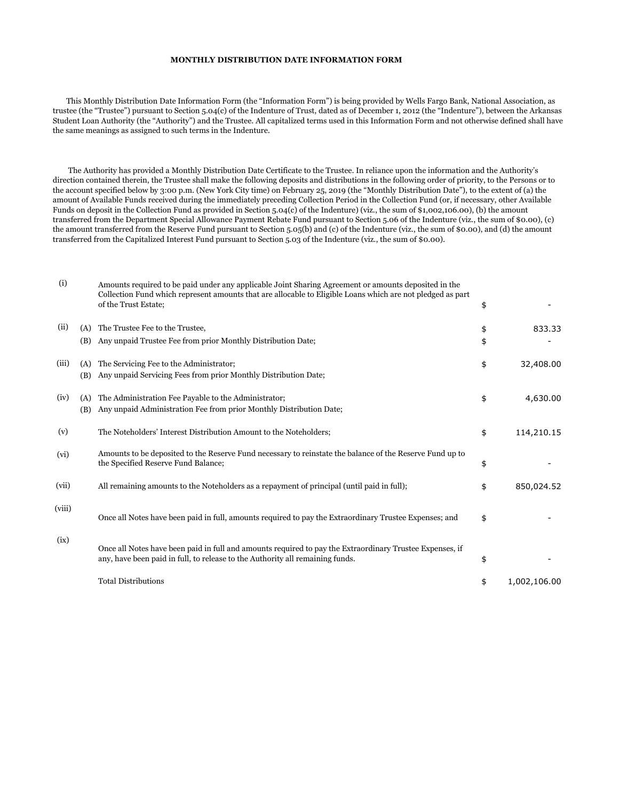## **MONTHLY DISTRIBUTION DATE INFORMATION FORM**

 This Monthly Distribution Date Information Form (the "Information Form") is being provided by Wells Fargo Bank, National Association, as trustee (the "Trustee") pursuant to Section 5.04(c) of the Indenture of Trust, dated as of December 1, 2012 (the "Indenture"), between the Arkansas Student Loan Authority (the "Authority") and the Trustee. All capitalized terms used in this Information Form and not otherwise defined shall have the same meanings as assigned to such terms in the Indenture.

 The Authority has provided a Monthly Distribution Date Certificate to the Trustee. In reliance upon the information and the Authority's direction contained therein, the Trustee shall make the following deposits and distributions in the following order of priority, to the Persons or to the account specified below by 3:00 p.m. (New York City time) on February 25, 2019 (the "Monthly Distribution Date"), to the extent of (a) the amount of Available Funds received during the immediately preceding Collection Period in the Collection Fund (or, if necessary, other Available Funds on deposit in the Collection Fund as provided in Section 5.04(c) of the Indenture) (viz., the sum of \$1,002,106.00), (b) the amount transferred from the Department Special Allowance Payment Rebate Fund pursuant to Section 5.06 of the Indenture (viz., the sum of \$0.00), (c) the amount transferred from the Reserve Fund pursuant to Section 5.05(b) and (c) of the Indenture (viz., the sum of \$0.00), and (d) the amount transferred from the Capitalized Interest Fund pursuant to Section 5.03 of the Indenture (viz., the sum of \$0.00).

| (i)    |            | Amounts required to be paid under any applicable Joint Sharing Agreement or amounts deposited in the<br>Collection Fund which represent amounts that are allocable to Eligible Loans which are not pledged as part<br>of the Trust Estate; | \$       |              |
|--------|------------|--------------------------------------------------------------------------------------------------------------------------------------------------------------------------------------------------------------------------------------------|----------|--------------|
| (ii)   | (A)<br>(B) | The Trustee Fee to the Trustee,<br>Any unpaid Trustee Fee from prior Monthly Distribution Date;                                                                                                                                            | \$<br>\$ | 833.33       |
| (iii)  | (A)<br>(B) | The Servicing Fee to the Administrator;<br>Any unpaid Servicing Fees from prior Monthly Distribution Date;                                                                                                                                 | \$       | 32,408.00    |
| (iv)   | (A)<br>(B) | The Administration Fee Payable to the Administrator;<br>Any unpaid Administration Fee from prior Monthly Distribution Date;                                                                                                                | \$       | 4,630.00     |
| (v)    |            | The Noteholders' Interest Distribution Amount to the Noteholders;                                                                                                                                                                          | \$       | 114,210.15   |
| (vi)   |            | Amounts to be deposited to the Reserve Fund necessary to reinstate the balance of the Reserve Fund up to<br>the Specified Reserve Fund Balance;                                                                                            | \$       |              |
| (vii)  |            | All remaining amounts to the Noteholders as a repayment of principal (until paid in full);                                                                                                                                                 | \$       | 850,024.52   |
| (viii) |            | Once all Notes have been paid in full, amounts required to pay the Extraordinary Trustee Expenses; and                                                                                                                                     | \$       |              |
| (ix)   |            | Once all Notes have been paid in full and amounts required to pay the Extraordinary Trustee Expenses, if<br>any, have been paid in full, to release to the Authority all remaining funds.                                                  | \$       |              |
|        |            | <b>Total Distributions</b>                                                                                                                                                                                                                 | \$       | 1,002,106.00 |